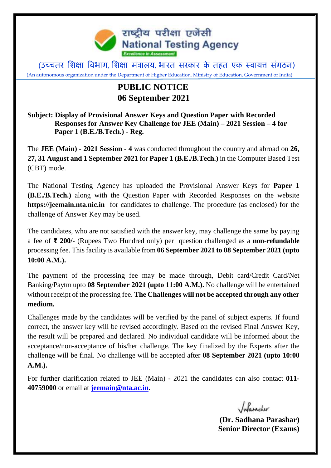

(उच्चतर शिक्षा विभाग, शिक्षा मंत्रालय, भारत सरकार के तहत एक स्वायत्त संगठन) (An autonomous organization under the Department of Higher Education, Ministry of Education, Government of India)

## **PUBLIC NOTICE 06 September 2021**

**Subject: Display of Provisional Answer Keys and Question Paper with Recorded Responses for Answer Key Challenge for JEE (Main) – 2021 Session – 4 for Paper 1 (B.E./B.Tech.) - Reg.**

The **JEE (Main) - 2021 Session - 4** was conducted throughout the country and abroad on **26, 27, 31 August and 1 September 2021** for **Paper 1 (B.E./B.Tech.)** in the Computer Based Test (CBT) mode.

The National Testing Agency has uploaded the Provisional Answer Keys for **Paper 1 (B.E./B.Tech.)** along with the Question Paper with Recorded Responses on the website **https://jeemain.nta.nic.in** for candidates to challenge. The procedure (as enclosed) for the challenge of Answer Key may be used.

The candidates, who are not satisfied with the answer key, may challenge the same by paying a fee of **₹ 200/-** (Rupees Two Hundred only) per question challenged as a **non-refundable**  processing fee. This facility is available from **06 September 2021 to 08 September 2021 (upto 10:00 A.M.).**

The payment of the processing fee may be made through, Debit card/Credit Card/Net Banking/Paytm upto **08 September 2021 (upto 11:00 A.M.).** No challenge will be entertained without receipt of the processing fee. **The Challenges will not be accepted through any other medium.** 

Challenges made by the candidates will be verified by the panel of subject experts. If found correct, the answer key will be revised accordingly. Based on the revised Final Answer Key, the result will be prepared and declared. No individual candidate will be informed about the acceptance/non-acceptance of his/her challenge. The key finalized by the Experts after the challenge will be final. No challenge will be accepted after **08 September 2021 (upto 10:00 A.M.).**

For further clarification related to JEE (Main) - 2021 the candidates can also contact **011- 40759000** or email at **[jeemain@nta.ac.in.](mailto:jeemain@nta.ac.in)** 

Infarasher

 **(Dr. Sadhana Parashar) Senior Director (Exams)**